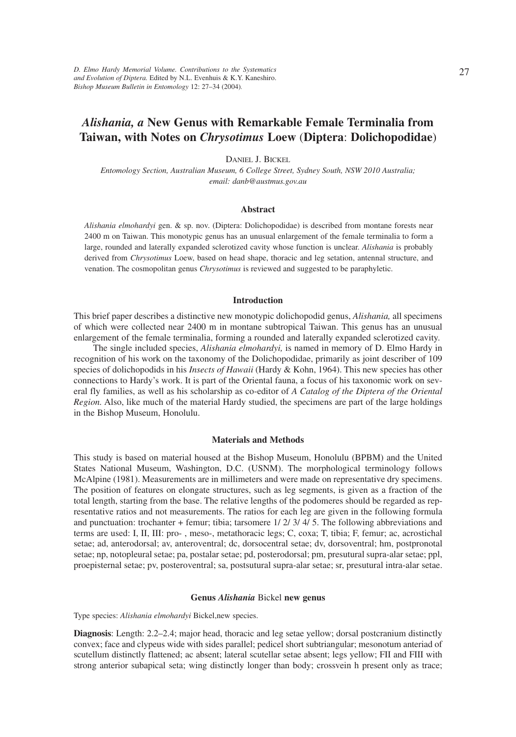# *Alishania, a* **New Genus with Remarkable Female Terminalia from Taiwan, with Notes on** *Chrysotimus* **Loew** (**Diptera**: **Dolichopodidae**)

DANIEL J. BICKEL

*Entomology Section, Australian Museum, 6 College Street, Sydney South, NSW 2010 Australia; email: danb@austmus.gov.au*

#### **Abstract**

*Alishania elmohardyi* gen. & sp. nov. (Diptera: Dolichopodidae) is described from montane forests near 2400 m on Taiwan. This monotypic genus has an unusual enlargement of the female terminalia to form a large, rounded and laterally expanded sclerotized cavity whose function is unclear. *Alishania* is probably derived from *Chrysotimus* Loew, based on head shape, thoracic and leg setation, antennal structure, and venation. The cosmopolitan genus *Chrysotimus* is reviewed and suggested to be paraphyletic.

#### **Introduction**

This brief paper describes a distinctive new monotypic dolichopodid genus, *Alishania,* all specimens of which were collected near 2400 m in montane subtropical Taiwan. This genus has an unusual enlargement of the female terminalia, forming a rounded and laterally expanded sclerotized cavity.

The single included species, *Alishania elmohardyi,* is named in memory of D. Elmo Hardy in recognition of his work on the taxonomy of the Dolichopodidae, primarily as joint describer of 109 species of dolichopodids in his *Insects of Hawaii* (Hardy & Kohn, 1964). This new species has other connections to Hardy's work. It is part of the Oriental fauna, a focus of his taxonomic work on several fly families, as well as his scholarship as co-editor of *A Catalog of the Diptera of the Oriental Region.* Also, like much of the material Hardy studied, the specimens are part of the large holdings in the Bishop Museum, Honolulu.

#### **Materials and Methods**

This study is based on material housed at the Bishop Museum, Honolulu (BPBM) and the United States National Museum, Washington, D.C. (USNM). The morphological terminology follows McAlpine (1981). Measurements are in millimeters and were made on representative dry specimens. The position of features on elongate structures, such as leg segments, is given as a fraction of the total length, starting from the base. The relative lengths of the podomeres should be regarded as representative ratios and not measurements. The ratios for each leg are given in the following formula and punctuation: trochanter + femur; tibia; tarsomere 1/ 2/ 3/ 4/ 5. The following abbreviations and terms are used: I, II, III: pro- , meso-, metathoracic legs; C, coxa; T, tibia; F, femur; ac, acrostichal setae; ad, anterodorsal; av, anteroventral; dc, dorsocentral setae; dv, dorsoventral; hm, postpronotal setae; np, notopleural setae; pa, postalar setae; pd, posterodorsal; pm, presutural supra-alar setae; ppl, proepisternal setae; pv, posteroventral; sa, postsutural supra-alar setae; sr, presutural intra-alar setae.

#### **Genus** *Alishania* Bickel **new genus**

Type species: *Alishania elmohardyi* Bickel,new species.

**Diagnosis**: Length: 2.2–2.4; major head, thoracic and leg setae yellow; dorsal postcranium distinctly convex; face and clypeus wide with sides parallel; pedicel short subtriangular; mesonotum anteriad of scutellum distinctly flattened; ac absent; lateral scutellar setae absent; legs yellow; FII and FIII with strong anterior subapical seta; wing distinctly longer than body; crossvein h present only as trace;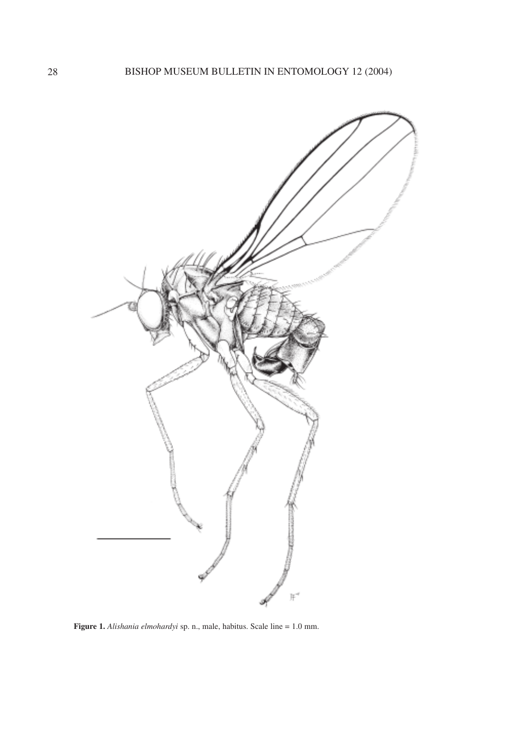

**Figure 1.** *Alishania elmohardyi* sp. n., male, habitus. Scale line = 1.0 mm.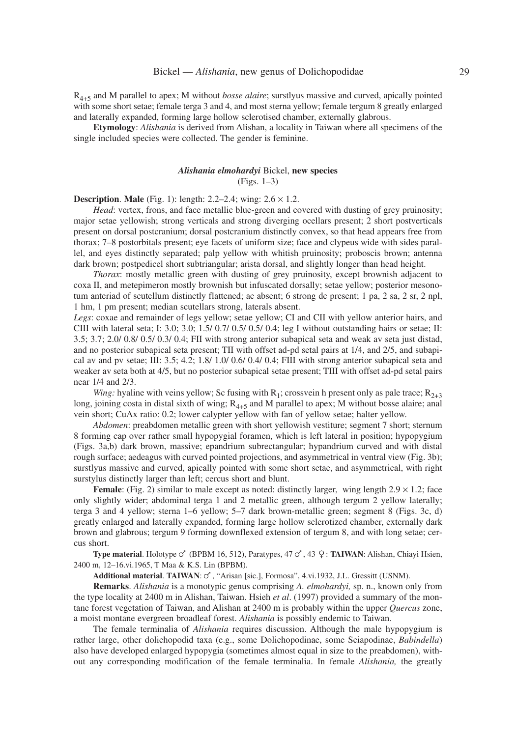R4+5 and M parallel to apex; M without *bosse alaire*; surstlyus massive and curved, apically pointed with some short setae; female terga 3 and 4, and most sterna yellow; female tergum 8 greatly enlarged and laterally expanded, forming large hollow sclerotised chamber, externally glabrous.

**Etymology**: *Alishania* is derived from Alishan, a locality in Taiwan where all specimens of the single included species were collected. The gender is feminine.

# *Alishania elmohardyi* Bickel, **new species** (Figs. 1–3)

**Description. Male** (Fig. 1): length: 2.2–2.4; wing:  $2.6 \times 1.2$ .

*Head*: vertex, frons, and face metallic blue-green and covered with dusting of grey pruinosity; major setae yellowish; strong verticals and strong diverging ocellars present; 2 short postverticals present on dorsal postcranium; dorsal postcranium distinctly convex, so that head appears free from thorax; 7–8 postorbitals present; eye facets of uniform size; face and clypeus wide with sides parallel, and eyes distinctly separated; palp yellow with whitish pruinosity; proboscis brown; antenna dark brown; postpedicel short subtriangular; arista dorsal, and slightly longer than head height.

*Thorax*: mostly metallic green with dusting of grey pruinosity, except brownish adjacent to coxa II, and metepimeron mostly brownish but infuscated dorsally; setae yellow; posterior mesonotum anteriad of scutellum distinctly flattened; ac absent; 6 strong dc present; 1 pa, 2 sa, 2 sr, 2 npl, 1 hm, 1 pm present; median scutellars strong, laterals absent.

*Legs*: coxae and remainder of legs yellow; setae yellow; CI and CII with yellow anterior hairs, and CIII with lateral seta; I: 3.0; 3.0; 1.5/ 0.7/ 0.5/ 0.5/ 0.4; leg I without outstanding hairs or setae; II: 3.5; 3.7; 2.0/ 0.8/ 0.5/ 0.3/ 0.4; FII with strong anterior subapical seta and weak av seta just distad, and no posterior subapical seta present; TII with offset ad-pd setal pairs at 1/4, and 2/5, and subapical av and pv setae; III: 3.5; 4.2; 1.8/ 1.0/ 0.6/ 0.4/ 0.4; FIII with strong anterior subapical seta and weaker av seta both at 4/5, but no posterior subapical setae present; TIII with offset ad-pd setal pairs near 1/4 and 2/3.

*Wing:* hyaline with veins yellow; Sc fusing with  $R_1$ ; crossvein h present only as pale trace;  $R_{2+3}$ long, joining costa in distal sixth of wing;  $R_{4+5}$  and M parallel to apex; M without bosse alaire; anal vein short; CuAx ratio: 0.2; lower calypter yellow with fan of yellow setae; halter yellow.

*Abdomen*: preabdomen metallic green with short yellowish vestiture; segment 7 short; sternum 8 forming cap over rather small hypopygial foramen, which is left lateral in position; hypopygium (Figs. 3a,b) dark brown, massive; epandrium subrectangular; hypandrium curved and with distal rough surface; aedeagus with curved pointed projections, and asymmetrical in ventral view (Fig. 3b); surstlyus massive and curved, apically pointed with some short setae, and asymmetrical, with right surstylus distinctly larger than left; cercus short and blunt.

**Female**: (Fig. 2) similar to male except as noted: distinctly larger, wing length  $2.9 \times 1.2$ ; face only slightly wider; abdominal terga 1 and 2 metallic green, although tergum 2 yellow laterally; terga 3 and 4 yellow; sterna 1–6 yellow; 5–7 dark brown-metallic green; segment 8 (Figs. 3c, d) greatly enlarged and laterally expanded, forming large hollow sclerotized chamber, externally dark brown and glabrous; tergum 9 forming downflexed extension of tergum 8, and with long setae; cercus short.

Type material. Holotype  $\circ$  (BPBM 16, 512), Paratypes, 47  $\circ$ , 43  $\circ$ : **TAIWAN**: Alishan, Chiayi Hsien, 2400 m, 12–16.vi.1965, T Maa & K.S. Lin (BPBM).

Additional material. TAIWAN:  $\circ$ , "Arisan [sic.], Formosa", 4.vi.1932, J.L. Gressitt (USNM).

**Remarks**. *Alishania* is a monotypic genus comprising *A. elmohardyi,* sp. n., known only from the type locality at 2400 m in Alishan, Taiwan. Hsieh *et al*. (1997) provided a summary of the montane forest vegetation of Taiwan, and Alishan at 2400 m is probably within the upper *Quercus* zone, a moist montane evergreen broadleaf forest. *Alishania* is possibly endemic to Taiwan.

The female terminalia of *Alishania* requires discussion. Although the male hypopygium is rather large, other dolichopodid taxa (e.g., some Dolichopodinae, some Sciapodinae, *Babindella*) also have developed enlarged hypopygia (sometimes almost equal in size to the preabdomen), without any corresponding modification of the female terminalia. In female *Alishania,* the greatly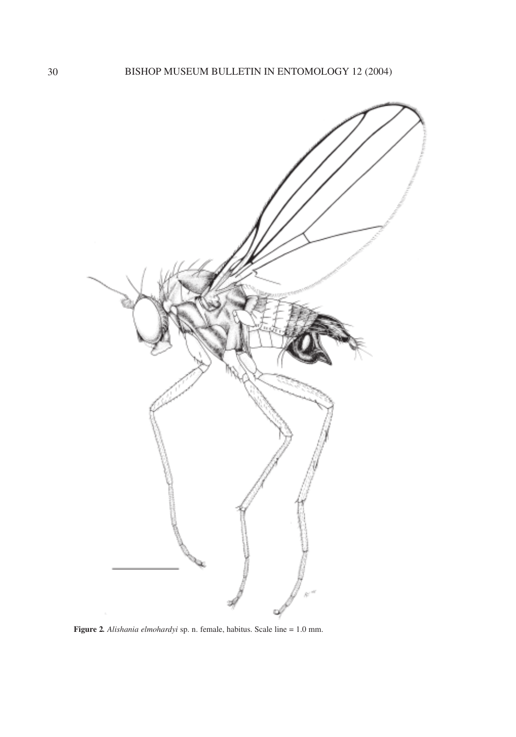

**Figure 2***. Alishania elmohardyi* sp. n. female, habitus. Scale line = 1.0 mm.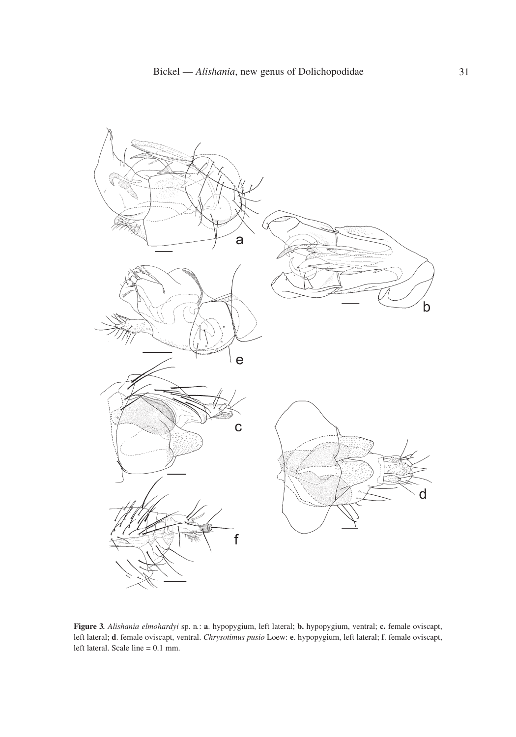

**Figure 3***. Alishania elmohardyi* sp. n*.*: **a**. hypopygium, left lateral; **b.** hypopygium, ventral; **c.** female oviscapt, left lateral; **d**. female oviscapt, ventral. *Chrysotimus pusio* Loew: **e**. hypopygium, left lateral; **f**. female oviscapt, left lateral. Scale line = 0.1 mm.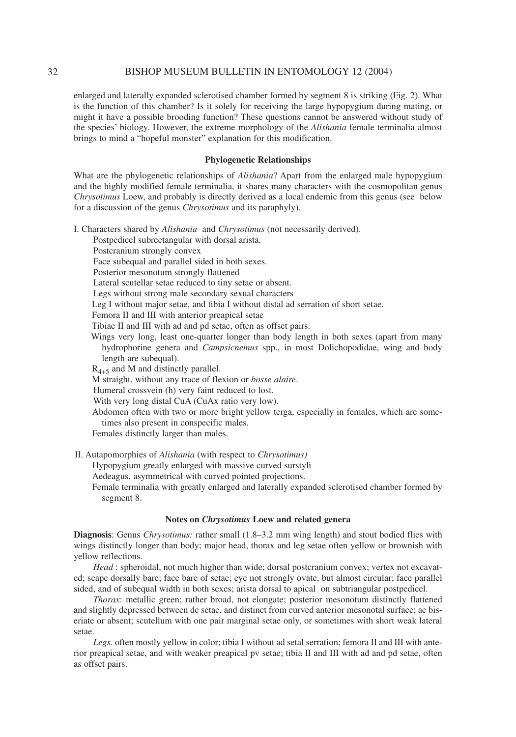#### 32 BISHOP MUSEUM BULLETIN IN ENTOMOLOGY 12 (2004)

enlarged and laterally expanded sclerotised chamber formed by segment 8 is striking (Fig. 2). What is the function of this chamber? Is it solely for receiving the large hypopygium during mating, or might it have a possible brooding function? These questions cannot be answered without study of the species' biology. However, the extreme morphology of the *Alishania* female terminalia almost brings to mind a "hopeful monster" explanation for this modification.

#### **Phylogenetic Relationships**

What are the phylogenetic relationships of *Alishania*? Apart from the enlarged male hypopygium and the highly modified female terminalia, it shares many characters with the cosmopolitan genus *Chrysotimus* Loew, and probably is directly derived as a local endemic from this genus (see below for a discussion of the genus *Chrysotimus* and its paraphyly).

I. Characters shared by *Alishania* and *Chrysotimus* (not necessarily derived).

Postpedicel subrectangular with dorsal arista.

Postcranium strongly convex

Face subequal and parallel sided in both sexes.

Posterior mesonotum strongly flattened

Lateral scutellar setae reduced to tiny setae or absent.

Legs without strong male secondary sexual characters

Leg I without major setae, and tibia I without distal ad serration of short setae.

Femora II and III with anterior preapical setae

Tibiae II and III with ad and pd setae, often as offset pairs.

Wings very long, least one-quarter longer than body length in both sexes (apart from many hydrophorine genera and *Campsicnemus* spp., in most Dolichopodidae, wing and body length are subequal).

 $R_{4+5}$  and M and distinctly parallel.

M straight, without any trace of flexion or *bosse alaire*.

Humeral crossvein (h) very faint reduced to lost.

With very long distal CuA (CuAx ratio very low).

Abdomen often with two or more bright yellow terga, especially in females, which are sometimes also present in conspecific males.

Females distinctly larger than males.

II. Autapomorphies of *Alishania* (with respect to *Chrysotimus)*

Hypopygium greatly enlarged with massive curved surstyli

Aedeagus, asymmetrical with curved pointed projections.

Female terminalia with greatly enlarged and laterally expanded sclerotised chamber formed by segment 8.

# **Notes on** *Chrysotimus* **Loew and related genera**

**Diagnosis**: Genus *Chrysotimus:* rather small (1.8–3.2 mm wing length) and stout bodied flies with wings distinctly longer than body; major head, thorax and leg setae often yellow or brownish with yellow reflections.

*Head* : spheroidal, not much higher than wide; dorsal postcranium convex; vertex not excavated; scape dorsally bare; face bare of setae; eye not strongly ovate, but almost circular; face parallel sided, and of subequal width in both sexes; arista dorsal to apical on subtriangular postpedicel.

*Thorax*: metallic green; rather broad, not elongate; posterior mesonotum distinctly flattened and slightly depressed between dc setae, and distinct from curved anterior mesonotal surface; ac biseriate or absent; scutellum with one pair marginal setae only, or sometimes with short weak lateral setae.

*Legs.* often mostly yellow in color; tibia I without ad setal serration; femora II and III with anterior preapical setae, and with weaker preapical pv setae; tibia II and III with ad and pd setae, often as offset pairs.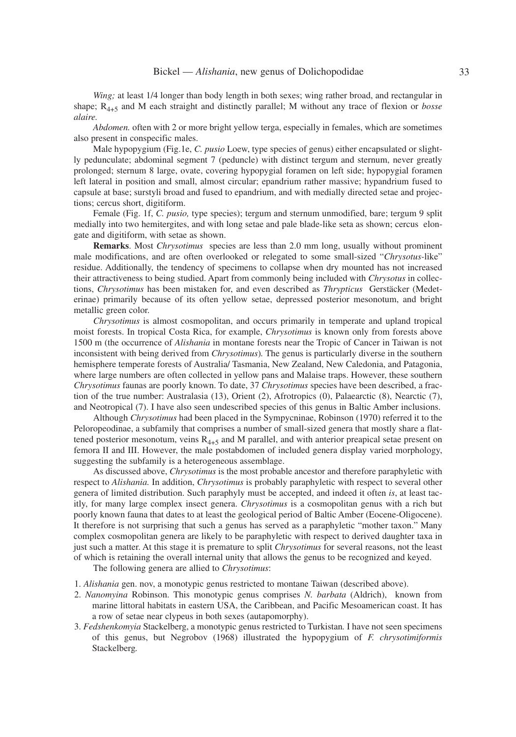*Wing*; at least 1/4 longer than body length in both sexes; wing rather broad, and rectangular in shape; R4+5 and M each straight and distinctly parallel; M without any trace of flexion or *bosse alaire.*

*Abdomen.* often with 2 or more bright yellow terga, especially in females, which are sometimes also present in conspecific males.

Male hypopygium (Fig.1e, *C. pusio* Loew, type species of genus) either encapsulated or slightly pedunculate; abdominal segment 7 (peduncle) with distinct tergum and sternum, never greatly prolonged; sternum 8 large, ovate, covering hypopygial foramen on left side; hypopygial foramen left lateral in position and small, almost circular; epandrium rather massive; hypandrium fused to capsule at base; surstyli broad and fused to epandrium, and with medially directed setae and projections; cercus short, digitiform.

Female (Fig. 1f, *C. pusio,* type species); tergum and sternum unmodified, bare; tergum 9 split medially into two hemitergites, and with long setae and pale blade-like seta as shown; cercus elongate and digitiform, with setae as shown.

**Remarks**. Most *Chrysotimus* species are less than 2.0 mm long, usually without prominent male modifications, and are often overlooked or relegated to some small-sized "*Chrysotus-*like" residue. Additionally, the tendency of specimens to collapse when dry mounted has not increased their attractiveness to being studied. Apart from commonly being included with *Chrysotus* in collections, *Chrysotimus* has been mistaken for, and even described as *Thrypticus* Gerstäcker (Medeterinae) primarily because of its often yellow setae, depressed posterior mesonotum, and bright metallic green color.

*Chrysotimus* is almost cosmopolitan, and occurs primarily in temperate and upland tropical moist forests. In tropical Costa Rica, for example, *Chrysotimus* is known only from forests above 1500 m (the occurrence of *Alishania* in montane forests near the Tropic of Cancer in Taiwan is not inconsistent with being derived from *Chrysotimus*)*.* The genus is particularly diverse in the southern hemisphere temperate forests of Australia/ Tasmania, New Zealand, New Caledonia, and Patagonia, where large numbers are often collected in yellow pans and Malaise traps. However, these southern *Chrysotimus* faunas are poorly known. To date, 37 *Chrysotimus* species have been described, a fraction of the true number: Australasia (13), Orient (2), Afrotropics (0), Palaearctic (8), Nearctic (7), and Neotropical (7). I have also seen undescribed species of this genus in Baltic Amber inclusions.

Although *Chrysotimus* had been placed in the Sympycninae, Robinson (1970) referred it to the Peloropeodinae, a subfamily that comprises a number of small-sized genera that mostly share a flattened posterior mesonotum, veins  $R_{4+5}$  and M parallel, and with anterior preapical setae present on femora II and III. However, the male postabdomen of included genera display varied morphology, suggesting the subfamily is a heterogeneous assemblage.

As discussed above, *Chrysotimus* is the most probable ancestor and therefore paraphyletic with respect to *Alishania.* In addition, *Chrysotimus* is probably paraphyletic with respect to several other genera of limited distribution. Such paraphyly must be accepted, and indeed it often *is*, at least tacitly, for many large complex insect genera. *Chrysotimus* is a cosmopolitan genus with a rich but poorly known fauna that dates to at least the geological period of Baltic Amber (Eocene-Oligocene). It therefore is not surprising that such a genus has served as a paraphyletic "mother taxon." Many complex cosmopolitan genera are likely to be paraphyletic with respect to derived daughter taxa in just such a matter. At this stage it is premature to split *Chrysotimus* for several reasons, not the least of which is retaining the overall internal unity that allows the genus to be recognized and keyed.

The following genera are allied to *Chrysotimus*:

- 1. *Alishania* gen. nov, a monotypic genus restricted to montane Taiwan (described above).
- 2. *Nanomyina* Robinson. This monotypic genus comprises *N. barbata* (Aldrich), known from marine littoral habitats in eastern USA, the Caribbean, and Pacific Mesoamerican coast. It has a row of setae near clypeus in both sexes (autapomorphy).
- 3. *Fedshenkomyia* Stackelberg, a monotypic genus restricted to Turkistan*.* I have not seen specimens of this genus, but Negrobov (1968) illustrated the hypopygium of *F. chrysotimiformis* Stackelberg*.*